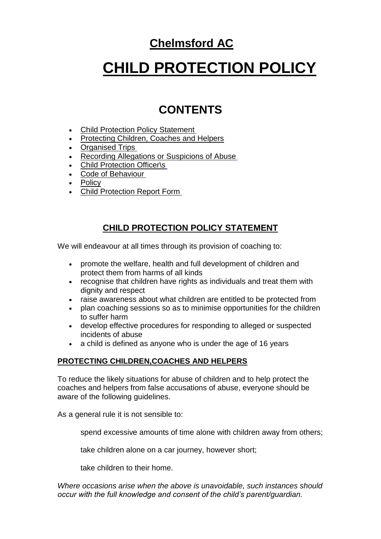## **Chelmsford AC**

# **CHILD PROTECTION POLICY**

# **CONTENTS**

- [Child Protection Policy Statement](http://www.btinternet.com/~chelmsfordac/CPP.htm#cpc)
- [Protecting Children, Coaches and Helpers](http://www.btinternet.com/~chelmsfordac/CPP.htm#prot child)
- [Organised Trips](http://www.btinternet.com/~chelmsfordac/CPP.htm#org trips)
- [Recording Allegations or Suspicions of Abuse](http://www.btinternet.com/~chelmsfordac/CPP.htm#recording allegations)
- [Child Protection Officer\s](http://www.btinternet.com/~chelmsfordac/CPP.htm#CPO)
- [Code of Behaviour](http://www.btinternet.com/~chelmsfordac/CPP.htm#Code of Behaviour)
- **Policy**
- [Child Protection Report Form](http://www.btinternet.com/~chelmsfordac/CPP.htm#report form)

### **CHILD PROTECTION POLICY STATEMENT**

We will endeavour at all times through its provision of coaching to:

- promote the welfare, health and full development of children and protect them from harms of all kinds
- recognise that children have rights as individuals and treat them with dignity and respect
- raise awareness about what children are entitled to be protected from
- plan coaching sessions so as to minimise opportunities for the children to suffer harm
- develop effective procedures for responding to alleged or suspected incidents of abuse
- a child is defined as anyone who is under the age of 16 years

#### **PROTECTING CHILDREN,COACHES AND HELPERS**

To reduce the likely situations for abuse of children and to help protect the coaches and helpers from false accusations of abuse, everyone should be aware of the following guidelines.

As a general rule it is not sensible to:

spend excessive amounts of time alone with children away from others;

take children alone on a car journey, however short;

take children to their home.

*Where occasions arise when the above is unavoidable, such instances should occur with the full knowledge and consent of the child's parent/guardian.*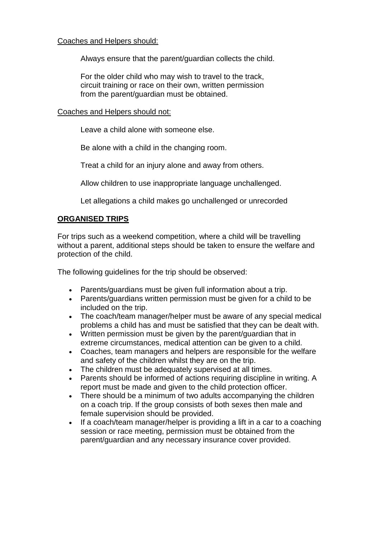#### Coaches and Helpers should:

Always ensure that the parent/guardian collects the child.

For the older child who may wish to travel to the track, circuit training or race on their own, written permission from the parent/guardian must be obtained.

Coaches and Helpers should not:

Leave a child alone with someone else.

Be alone with a child in the changing room.

Treat a child for an injury alone and away from others.

Allow children to use inappropriate language unchallenged.

Let allegations a child makes go unchallenged or unrecorded

#### **ORGANISED TRIPS**

For trips such as a weekend competition, where a child will be travelling without a parent, additional steps should be taken to ensure the welfare and protection of the child.

The following guidelines for the trip should be observed:

- Parents/guardians must be given full information about a trip.
- Parents/guardians written permission must be given for a child to be included on the trip.
- The coach/team manager/helper must be aware of any special medical problems a child has and must be satisfied that they can be dealt with.
- Written permission must be given by the parent/guardian that in extreme circumstances, medical attention can be given to a child.
- Coaches, team managers and helpers are responsible for the welfare and safety of the children whilst they are on the trip.
- The children must be adequately supervised at all times.
- Parents should be informed of actions requiring discipline in writing. A report must be made and given to the child protection officer.
- There should be a minimum of two adults accompanying the children on a coach trip. If the group consists of both sexes then male and female supervision should be provided.
- If a coach/team manager/helper is providing a lift in a car to a coaching session or race meeting, permission must be obtained from the parent/guardian and any necessary insurance cover provided.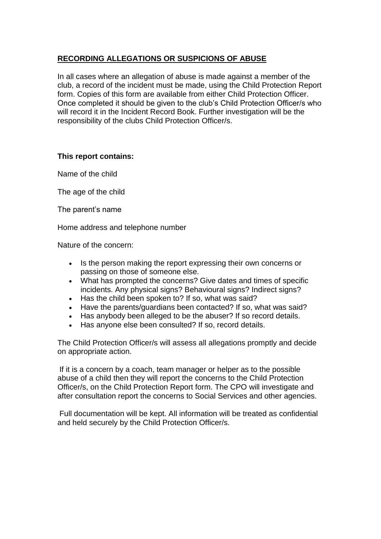#### **RECORDING ALLEGATIONS OR SUSPICIONS OF ABUSE**

In all cases where an allegation of abuse is made against a member of the club, a record of the incident must be made, using the Child Protection Report form. Copies of this form are available from either Child Protection Officer. Once completed it should be given to the club's Child Protection Officer/s who will record it in the Incident Record Book. Further investigation will be the responsibility of the clubs Child Protection Officer/s.

#### **This report contains:**

Name of the child

The age of the child

The parent's name

Home address and telephone number

Nature of the concern:

- Is the person making the report expressing their own concerns or passing on those of someone else.
- What has prompted the concerns? Give dates and times of specific incidents. Any physical signs? Behavioural signs? Indirect signs?
- Has the child been spoken to? If so, what was said?
- Have the parents/guardians been contacted? If so, what was said?
- Has anybody been alleged to be the abuser? If so record details.
- Has anyone else been consulted? If so, record details.

The Child Protection Officer/s will assess all allegations promptly and decide on appropriate action.

If it is a concern by a coach, team manager or helper as to the possible abuse of a child then they will report the concerns to the Child Protection Officer/s, on the Child Protection Report form. The CPO will investigate and after consultation report the concerns to Social Services and other agencies.

Full documentation will be kept. All information will be treated as confidential and held securely by the Child Protection Officer/s.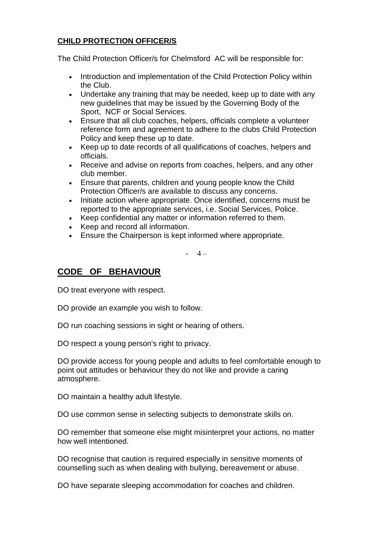#### **CHILD PROTECTION OFFICER/S**

The Child Protection Officer/s for Chelmsford AC will be responsible for:

- Introduction and implementation of the Child Protection Policy within the Club.
- Undertake any training that may be needed, keep up to date with any new guidelines that may be issued by the Governing Body of the Sport, NCF or Social Services.
- Ensure that all club coaches, helpers, officials complete a volunteer reference form and agreement to adhere to the clubs Child Protection Policy and keep these up to date.
- Keep up to date records of all qualifications of coaches, helpers and officials.
- Receive and advise on reports from coaches, helpers, and any other club member.
- Ensure that parents, children and young people know the Child Protection Officer/s are available to discuss any concerns.
- Initiate action where appropriate. Once identified, concerns must be reported to the appropriate services, i.e. Social Services, Police.
- Keep confidential any matter or information referred to them.
- Keep and record all information.
- Ensure the Chairperson is kept informed where appropriate.

 $- 4 -$ 

### **CODE OF BEHAVIOUR**

DO treat everyone with respect.

DO provide an example you wish to follow.

- DO run coaching sessions in sight or hearing of others.
- DO respect a young person's right to privacy.

DO provide access for young people and adults to feel comfortable enough to point out attitudes or behaviour they do not like and provide a caring atmosphere.

DO maintain a healthy adult lifestyle.

DO use common sense in selecting subjects to demonstrate skills on.

DO remember that someone else might misinterpret your actions, no matter how well intentioned.

DO recognise that caution is required especially in sensitive moments of counselling such as when dealing with bullying, bereavement or abuse.

DO have separate sleeping accommodation for coaches and children.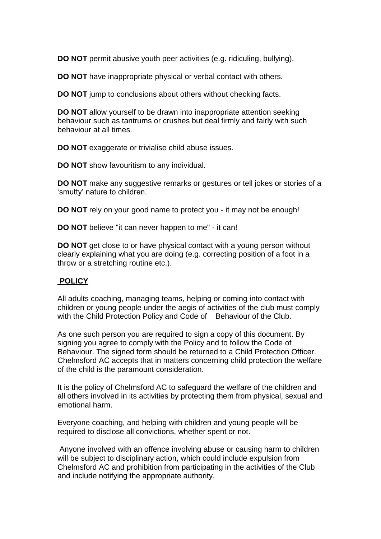**DO NOT** permit abusive youth peer activities (e.g. ridiculing, bullying).

**DO NOT** have inappropriate physical or verbal contact with others.

**DO NOT** jump to conclusions about others without checking facts.

**DO NOT** allow yourself to be drawn into inappropriate attention seeking behaviour such as tantrums or crushes but deal firmly and fairly with such behaviour at all times.

**DO NOT** exaggerate or trivialise child abuse issues.

**DO NOT** show favouritism to any individual.

**DO NOT** make any suggestive remarks or gestures or tell jokes or stories of a 'smutty' nature to children.

**DO NOT** rely on your good name to protect you - it may not be enough!

**DO NOT** believe "it can never happen to me" - it can!

**DO NOT** get close to or have physical contact with a young person without clearly explaining what you are doing (e.g. correcting position of a foot in a throw or a stretching routine etc.).

#### **POLICY**

All adults coaching, managing teams, helping or coming into contact with children or young people under the aegis of activities of the club must comply with the Child Protection Policy and Code of Behaviour of the Club.

As one such person you are required to sign a copy of this document. By signing you agree to comply with the Policy and to follow the Code of Behaviour. The signed form should be returned to a Child Protection Officer. Chelmsford AC accepts that in matters concerning child protection the welfare of the child is the paramount consideration.

It is the policy of Chelmsford AC to safeguard the welfare of the children and all others involved in its activities by protecting them from physical, sexual and emotional harm.

Everyone coaching, and helping with children and young people will be required to disclose all convictions, whether spent or not.

Anyone involved with an offence involving abuse or causing harm to children will be subject to disciplinary action, which could include expulsion from Chelmsford AC and prohibition from participating in the activities of the Club and include notifying the appropriate authority.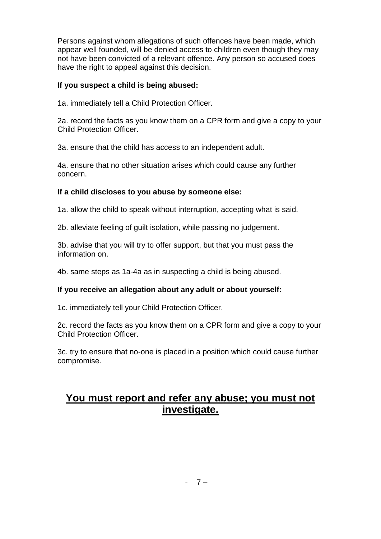Persons against whom allegations of such offences have been made, which appear well founded, will be denied access to children even though they may not have been convicted of a relevant offence. Any person so accused does have the right to appeal against this decision.

#### **If you suspect a child is being abused:**

1a. immediately tell a Child Protection Officer.

2a. record the facts as you know them on a CPR form and give a copy to your Child Protection Officer.

3a. ensure that the child has access to an independent adult.

4a. ensure that no other situation arises which could cause any further concern.

#### **If a child discloses to you abuse by someone else:**

1a. allow the child to speak without interruption, accepting what is said.

2b. alleviate feeling of guilt isolation, while passing no judgement.

3b. advise that you will try to offer support, but that you must pass the information on.

4b. same steps as 1a-4a as in suspecting a child is being abused.

#### **If you receive an allegation about any adult or about yourself:**

1c. immediately tell your Child Protection Officer.

2c. record the facts as you know them on a CPR form and give a copy to your Child Protection Officer.

3c. try to ensure that no-one is placed in a position which could cause further compromise.

### **You must report and refer any abuse; you must not investigate.**